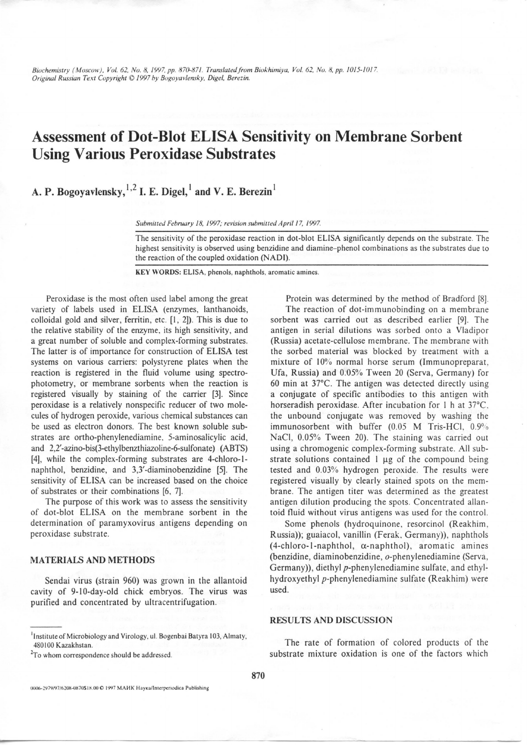*Biochemistry ( Moscow}, Vol. 62, No. 8, 19Y7, pp. 870-871. Translated from Biokhimiyu, Vol. 62, No.8, pp. 1015-1 017. Original Russian Text Copyright © / 997 hy Bogoyuvlemky. Digel, Berezin.* 

## Assessment of Dot-Blot ELISA Sensitivity on Membrane Sorbent Using Various Peroxidase Substrates

A. P. Bogoyavlensky,  $^{1,2}$  I. E. Digel,  $^{1}$  and V. E. Berezin $^{1}$ 

Submitted February 18, 1997; revision submitted April 17, 1997.

The sensitivity of the peroxidase reaction in dot-blot ELISA significantly depends on the substrate. The highest sensitivity is observed using benzidine and diamine- phenol combinations as the substrates due to the reaction of the coupled oxidation (NADI).

KEY WORDS: ELISA, phenols, naphthols, aromatic amines.

Peroxidase is the most often used label among the great variety of labels used in ELISA (enzymes, lanthanoids, colloidal gold and silver, ferritin, etc. [1, 2]). This is due to the relative stability of the enzyme. its high sensitivity, and a great number of soluble and complex-forming substrates. The latter is of importance for construction of ELISA test systems on various carriers: polystyrene plates when the reaction is registered in the fluid volume using spectrophotometry, or membrane sorbents when the reaction is registered visually by staining of the carrier [3]. Since peroxidase is a relatively nonspecific reducer of two molecules of hydrogen peroxide, various chemical substances can be used as electron donors. The best known soluble substrates are ortho-phenylenediamine. 5-aminosalicylic acid, and 2,2'-azino-bis(3-ethylbenzthiazoline-6-sulfonate) (ABTS) [4], while the complex-forming substrates are 4-chloro-1 naphthol, benzidine, and 3,3'-diaminobenzidine [5]. The sensitivity of ELISA can be increased based on the choice of substrates or their combinations (6, 7].

The purpose of this work was to assess the sensitivity of dot-blot ELISA on the membrane sorbent in the determination of paramyxovirus antigens depending on peroxidase substrate.

## MATERIALS AND METHODS

Sendai virus (strain 960) was grown in the allantoid cavity of 9-10-day-old chick embryos. The virus was purified and concentrated by ultracentrifugation.

*2 To* whom correspondence should be addressed.

Protein was determined by the method of Bradford (8]. The reaction of dot-immunobinding on a membrane sorbent was carried out as described earlier [9]. The antigen in serial dilutions was sorbed onto a Vladipor (Russia) acetate-cellulose membrane. The membrane with the sorbed material was blocked by treatment with a mixture of 10% normal horse serum (Immunopreparat, Ufa, Russia) and 0.05% Tween 20 (Serva, Germany) for 60 min at  $37^{\circ}$ C. The antigen was detected directly using a conjugate of specific antibodies to this antigen with horseradish peroxidase. After incubation for I h at 37°C. the unbound conjugate was removed by washing the immunosorbent with buffer (0.05 M Tris-HCl, 0.9%) NaCI, 0.05% Tween 20). The staining was carried out using a chromogenic complex-forming substrate. All substrate solutions contained  $l \mu g$  of the compound being tested and 0.03% hydrogen peroxide. The results were registered visually by clearly stained spots on the membrane. The antigen titer was determined as the greatest antigen dilution producing the spots. Concentrated allantoid fluid without virus antigens was used for the control.

Some phenols (hydroquinone, resorcinol (Reakhim, Russia)); guaiacol, vanillin (Ferak. Germany)), naphthols  $(4\text{-chloro-1-naphthol}, \alpha\text{-naphthol}, \text{aromatic amines})$ (benzidine, diaminobenzidine, o-phenylenediamine (Serva, Germany)), diethyl p-phenylenediamine sulfate, and ethylhydroxyethyl p-phenylenediamine sulfate (Reakhim) were used.

## RESULTS AND DISCUSSION

The rate of formation of colored products of the substrate mixture oxidation is one of the factors which

Institute of Microbiology and Virology, ul. Bogenbai Batyra 103, Almaty, 480100 Kazakhstan.